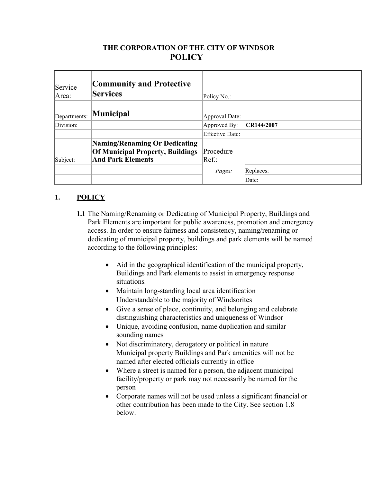# **THE CORPORATION OF THE CITY OF WINDSOR POLICY**

| Service<br>Area: | <b>Community and Protective</b><br><b>Services</b>                                                   | Policy No.:            |            |
|------------------|------------------------------------------------------------------------------------------------------|------------------------|------------|
| Departments:     | <b>Municipal</b>                                                                                     | Approval Date:         |            |
| Division:        |                                                                                                      | Approved By:           | CR144/2007 |
|                  |                                                                                                      | <b>Effective Date:</b> |            |
| Subject:         | Naming/Renaming Or Dedicating<br><b>Of Municipal Property, Buildings</b><br><b>And Park Elements</b> | Procedure<br>Ref.:     |            |
|                  |                                                                                                      | Pages:                 | Replaces:  |
|                  |                                                                                                      |                        | Date:      |

## **1. POLICY**

- **1.1** The Naming/Renaming or Dedicating of Municipal Property, Buildings and Park Elements are important for public awareness, promotion and emergency access. In order to ensure fairness and consistency, naming/renaming or dedicating of municipal property, buildings and park elements will be named according to the following principles:
	- Aid in the geographical identification of the municipal property, Buildings and Park elements to assist in emergency response situations*.*
	- Maintain long-standing local area identification Understandable to the majority of Windsorites
	- Give a sense of place, continuity, and belonging and celebrate distinguishing characteristics and uniqueness of Windsor
	- Unique, avoiding confusion, name duplication and similar sounding names
	- Not discriminatory, derogatory or political in nature Municipal property Buildings and Park amenities will not be named after elected officials currently in office
	- Where a street is named for a person, the adjacent municipal facility/property or park may not necessarily be named for the person
	- Corporate names will not be used unless a significant financial or other contribution has been made to the City. See section 1.8 below.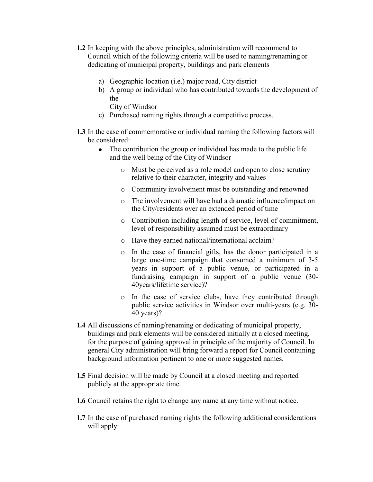- **1.2** In keeping with the above principles, administration will recommend to Council which of the following criteria will be used to naming/renaming or dedicating of municipal property, buildings and park elements
	- a) Geographic location (i.e.) major road, City district
	- b) A group or individual who has contributed towards the development of the

City of Windsor

- c) Purchased naming rights through a competitive process.
- **1.3** In the case of commemorative or individual naming the following factors will be considered:
	- The contribution the group or individual has made to the public life and the well being of the City of Windsor
		- o Must be perceived as a role model and open to close scrutiny relative to their character, integrity and values
		- o Community involvement must be outstanding and renowned
		- o The involvement will have had a dramatic influence/impact on the City/residents over an extended period of time
		- o Contribution including length of service, level of commitment, level of responsibility assumed must be extraordinary
		- o Have they earned national/international acclaim?
		- o In the case of financial gifts, has the donor participated in a large one-time campaign that consumed a minimum of 3-5 years in support of a public venue, or participated in a fundraising campaign in support of a public venue (30- 40years/lifetime service)?
		- o In the case of service clubs, have they contributed through public service activities in Windsor over multi-years (e.g. 30- 40 years)?
- **1.4** All discussions of naming/renaming or dedicating of municipal property, buildings and park elements will be considered initially at a closed meeting, for the purpose of gaining approval in principle of the majority of Council. In general City administration will bring forward a report for Council containing background information pertinent to one or more suggested names.
- **1.5** Final decision will be made by Council at a closed meeting and reported publicly at the appropriate time.
- **1.6** Council retains the right to change any name at any time without notice.
- **1.7** In the case of purchased naming rights the following additional considerations will apply: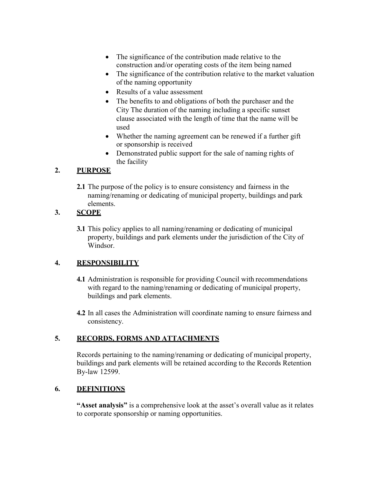- The significance of the contribution made relative to the construction and/or operating costs of the item being named
- The significance of the contribution relative to the market valuation of the naming opportunity
- Results of a value assessment
- The benefits to and obligations of both the purchaser and the City The duration of the naming including a specific sunset clause associated with the length of time that the name will be used
- Whether the naming agreement can be renewed if a further gift or sponsorship is received
- Demonstrated public support for the sale of naming rights of the facility

### **2. PURPOSE**

**2.1** The purpose of the policy is to ensure consistency and fairness in the naming/renaming or dedicating of municipal property, buildings and park elements.

## **3. SCOPE**

**3.1** This policy applies to all naming/renaming or dedicating of municipal property, buildings and park elements under the jurisdiction of the City of Windsor.

### **4. RESPONSIBILITY**

- **4.1** Administration is responsible for providing Council with recommendations with regard to the naming/renaming or dedicating of municipal property, buildings and park elements.
- **4.2** In all cases the Administration will coordinate naming to ensure fairness and consistency.

### **5. RECORDS, FORMS AND ATTACHMENTS**

Records pertaining to the naming/renaming or dedicating of municipal property, buildings and park elements will be retained according to the Records Retention By-law 12599.

### **6. DEFINITIONS**

**"Asset analysis"** is a comprehensive look at the asset's overall value as it relates to corporate sponsorship or naming opportunities.